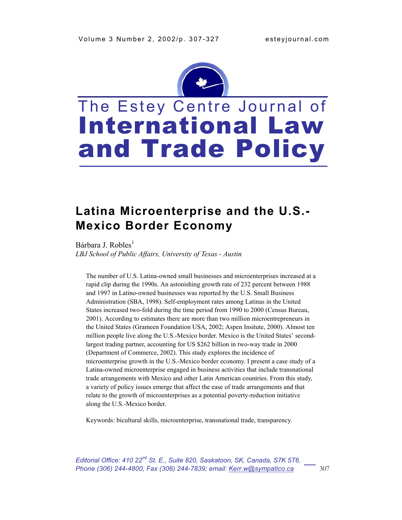

# The Estey Centre Journal of International Law and Trade Policy

# **Latina Microenterprise and the U.S.- Mexico Border Economy**

Bárbara J. Robles<sup>1</sup> *LBJ School of Public Affairs, University of Texas - Austin*

The number of U.S. Latina-owned small businesses and microenterprises increased at a rapid clip during the 1990s. An astonishing growth rate of 232 percent between 1988 and 1997 in Latino-owned businesses was reported by the U.S. Small Business Administration (SBA, 1998). Self-employment rates among Latinas in the United States increased two-fold during the time period from 1990 to 2000 (Census Bureau, 2001). According to estimates there are more than two million microentrepreneurs in the United States (Grameen Foundation USA, 2002; Aspen Insitute, 2000). Almost ten million people live along the U.S.-Mexico border. Mexico is the United States' secondlargest trading partner, accounting for US \$262 billion in two-way trade in 2000 (Department of Commerce, 2002). This study explores the incidence of microenterprise growth in the U.S.-Mexico border economy. I present a case study of a Latina-owned microenterprise engaged in business activities that include transnational trade arrangements with Mexico and other Latin American countries. From this study, a variety of policy issues emerge that affect the ease of trade arrangements and that relate to the growth of microenterprises as a potential poverty-reduction initiative along the U.S.-Mexico border.

Keywords: bicultural skills, microenterprise, transnational trade, transparency.

*Editorial Office: 410 22nd St. E., Suite 820, Saskatoon, SK, Canada, S7K 5T6. Phone (306) 244-4800; Fax (306) 244-7839; email: Kerr.w@sympatico.ca* 307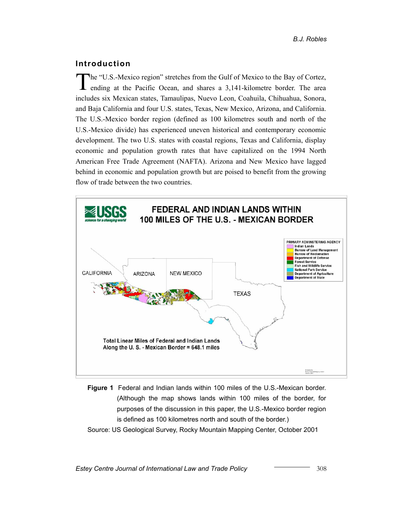# **Introduction**

The "U.S.-Mexico region" stretches from the Gulf of Mexico to the Bay of Cortez, ending at the Pacific Ocean, and shares a 3,141-kilometre border. The area includes six Mexican states, Tamaulipas, Nuevo Leon, Coahuila, Chihuahua, Sonora, and Baja California and four U.S. states, Texas, New Mexico, Arizona, and California. The U.S.-Mexico border region (defined as 100 kilometres south and north of the U.S.-Mexico divide) has experienced uneven historical and contemporary economic development. The two U.S. states with coastal regions, Texas and California, display economic and population growth rates that have capitalized on the 1994 North American Free Trade Agreement (NAFTA). Arizona and New Mexico have lagged behind in economic and population growth but are poised to benefit from the growing flow of trade between the two countries.



**Figure 1** Federal and Indian lands within 100 miles of the U.S.-Mexican border. (Although the map shows lands within 100 miles of the border, for purposes of the discussion in this paper, the U.S.-Mexico border region is defined as 100 kilometres north and south of the border.)

Source: US Geological Survey, Rocky Mountain Mapping Center, October 2001

*Estey Centre Journal of International Law and Trade Policy* **2008** 308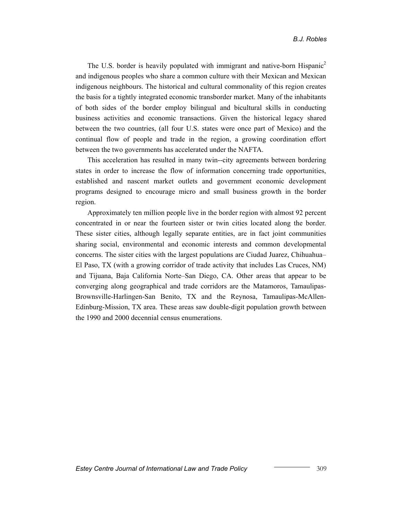The U.S. border is heavily populated with immigrant and native-born Hispanic<sup>2</sup> and indigenous peoples who share a common culture with their Mexican and Mexican indigenous neighbours. The historical and cultural commonality of this region creates the basis for a tightly integrated economic transborder market. Many of the inhabitants of both sides of the border employ bilingual and bicultural skills in conducting business activities and economic transactions. Given the historical legacy shared between the two countries, (all four U.S. states were once part of Mexico) and the continual flow of people and trade in the region, a growing coordination effort between the two governments has accelerated under the NAFTA.

This acceleration has resulted in many twin--city agreements between bordering states in order to increase the flow of information concerning trade opportunities, established and nascent market outlets and government economic development programs designed to encourage micro and small business growth in the border region.

Approximately ten million people live in the border region with almost 92 percent concentrated in or near the fourteen sister or twin cities located along the border. These sister cities, although legally separate entities, are in fact joint communities sharing social, environmental and economic interests and common developmental concerns. The sister cities with the largest populations are Ciudad Juarez, Chihuahua– El Paso, TX (with a growing corridor of trade activity that includes Las Cruces, NM) and Tijuana, Baja California Norte–San Diego, CA. Other areas that appear to be converging along geographical and trade corridors are the Matamoros, Tamaulipas-Brownsville-Harlingen-San Benito, TX and the Reynosa, Tamaulipas-McAllen-Edinburg-Mission, TX area. These areas saw double-digit population growth between the 1990 and 2000 decennial census enumerations.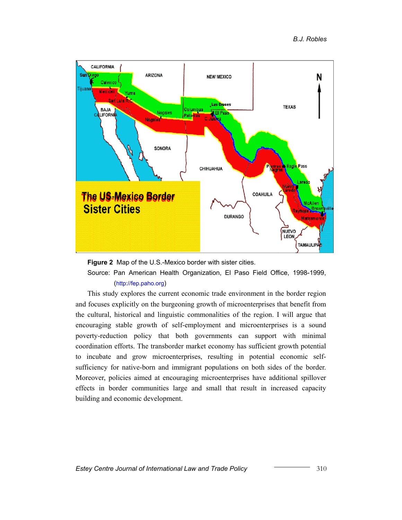

**Figure 2** Map of the U.S.-Mexico border with sister cities.

Source: Pan American Health Organization, El Paso Field Office, 1998-1999, [\(http://fep.paho.org](http://fep.paho.org/))

This study explores the current economic trade environment in the border region and focuses explicitly on the burgeoning growth of microenterprises that benefit from the cultural, historical and linguistic commonalities of the region. I will argue that encouraging stable growth of self-employment and microenterprises is a sound poverty-reduction policy that both governments can support with minimal coordination efforts. The transborder market economy has sufficient growth potential to incubate and grow microenterprises, resulting in potential economic selfsufficiency for native-born and immigrant populations on both sides of the border. Moreover, policies aimed at encouraging microenterprises have additional spillover effects in border communities large and small that result in increased capacity building and economic development.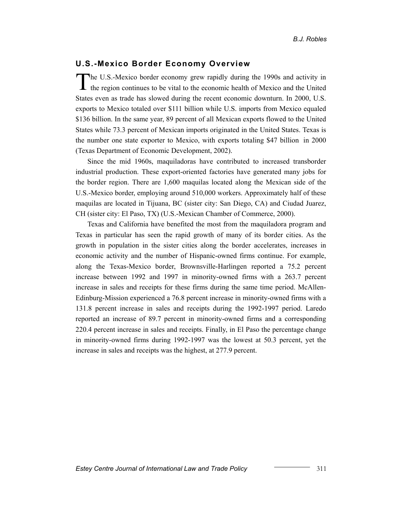#### **U.S.-Mexico Border Economy Overview**

The U.S.-Mexico border economy grew rapidly during the 1990s and activity in the region continues to be vital to the economic health of Mexico and the United States even as trade has slowed during the recent economic downturn. In 2000, U.S. exports to Mexico totaled over \$111 billion while U.S. imports from Mexico equaled \$136 billion. In the same year, 89 percent of all Mexican exports flowed to the United States while 73.3 percent of Mexican imports originated in the United States. Texas is the number one state exporter to Mexico, with exports totaling \$47 billion in 2000 (Texas Department of Economic Development, 2002).

Since the mid 1960s, maquiladoras have contributed to increased transborder industrial production. These export-oriented factories have generated many jobs for the border region. There are 1,600 maquilas located along the Mexican side of the U.S.-Mexico border, employing around 510,000 workers. Approximately half of these maquilas are located in Tijuana, BC (sister city: San Diego, CA) and Ciudad Juarez, CH (sister city: El Paso, TX) (U.S.-Mexican Chamber of Commerce, 2000).

Texas and California have benefited the most from the maquiladora program and Texas in particular has seen the rapid growth of many of its border cities. As the growth in population in the sister cities along the border accelerates, increases in economic activity and the number of Hispanic-owned firms continue. For example, along the Texas-Mexico border, Brownsville-Harlingen reported a 75.2 percent increase between 1992 and 1997 in minority-owned firms with a 263.7 percent increase in sales and receipts for these firms during the same time period. McAllen-Edinburg-Mission experienced a 76.8 percent increase in minority-owned firms with a 131.8 percent increase in sales and receipts during the 1992-1997 period. Laredo reported an increase of 89.7 percent in minority-owned firms and a corresponding 220.4 percent increase in sales and receipts. Finally, in El Paso the percentage change in minority-owned firms during 1992-1997 was the lowest at 50.3 percent, yet the increase in sales and receipts was the highest, at 277.9 percent.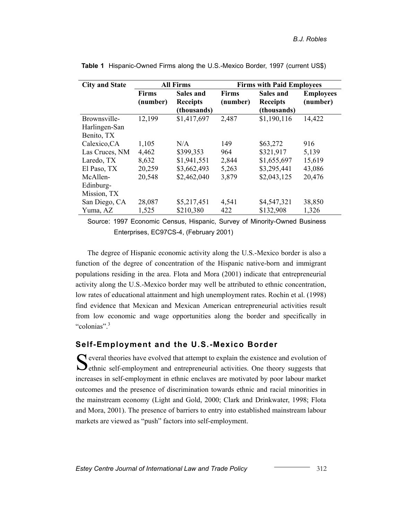| <b>City and State</b> |                          | <b>All Firms</b>                            | <b>Firms with Paid Employees</b> |                                             |                              |  |  |
|-----------------------|--------------------------|---------------------------------------------|----------------------------------|---------------------------------------------|------------------------------|--|--|
|                       | <b>Firms</b><br>(number) | Sales and<br><b>Receipts</b><br>(thousands) | <b>Firms</b><br>(number)         | Sales and<br><b>Receipts</b><br>(thousands) | <b>Employees</b><br>(number) |  |  |
| Brownsville-          | 12,199                   | \$1,417,697                                 | 2,487                            | \$1,190,116                                 | 14,422                       |  |  |
| Harlingen-San         |                          |                                             |                                  |                                             |                              |  |  |
| Benito, TX            |                          |                                             |                                  |                                             |                              |  |  |
| Calexico, CA          | 1,105                    | N/A                                         | 149                              | \$63,272                                    | 916                          |  |  |
| Las Cruces, NM        | 4,462                    | \$399,353                                   | 964                              | \$321,917                                   | 5,139                        |  |  |
| Laredo, TX            | 8,632                    | \$1,941,551                                 | 2,844                            | \$1,655,697                                 | 15,619                       |  |  |
| El Paso, TX           | 20,259                   | \$3,662,493                                 | 5,263                            | \$3,295,441                                 | 43,086                       |  |  |
| McAllen-              | 20,548                   | \$2,462,040                                 | 3,879                            | \$2,043,125                                 | 20,476                       |  |  |
| Edinburg-             |                          |                                             |                                  |                                             |                              |  |  |
| Mission, TX           |                          |                                             |                                  |                                             |                              |  |  |
| San Diego, CA         | 28,087                   | \$5,217,451                                 | 4,541                            | \$4,547,321                                 | 38,850                       |  |  |
| Yuma, AZ              | 1,525                    | \$210,380                                   | 422                              | \$132,908                                   | 1,326                        |  |  |

**Table 1** Hispanic-Owned Firms along the U.S.-Mexico Border, 1997 (current US\$)

Source: 1997 Economic Census, Hispanic, Survey of Minority-Owned Business Enterprises, EC97CS-4, (February 2001)

The degree of Hispanic economic activity along the U.S.-Mexico border is also a function of the degree of concentration of the Hispanic native-born and immigrant populations residing in the area. Flota and Mora (2001) indicate that entrepreneurial activity along the U.S.-Mexico border may well be attributed to ethnic concentration, low rates of educational attainment and high unemployment rates. Rochin et al. (1998) find evidence that Mexican and Mexican American entrepreneurial activities result from low economic and wage opportunities along the border and specifically in "colonias"<sup>[3](#page--1-2)</sup>

## **Self-Employment and the U.S.-Mexico Border**

S everal theories have evolved that attempt to explain the existence and evolution of ethnic self-employment and entrepreneurial activities. One theory suggests that increases in self-employment in ethnic enclaves are motivated by poor labour market outcomes and the presence of discrimination towards ethnic and racial minorities in the mainstream economy (Light and Gold, 2000; Clark and Drinkwater, 1998; Flota and Mora, 2001). The presence of barriers to entry into established mainstream labour markets are viewed as "push" factors into self-employment.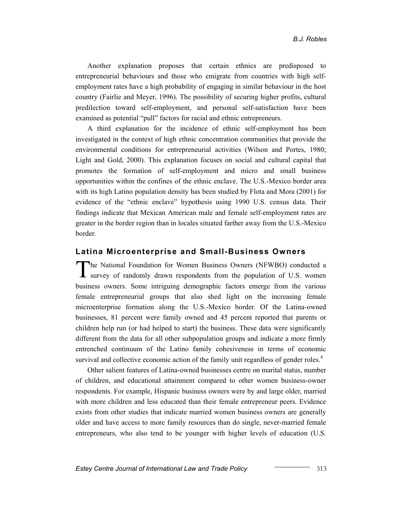Another explanation proposes that certain ethnics are predisposed to entrepreneurial behaviours and those who emigrate from countries with high selfemployment rates have a high probability of engaging in similar behaviour in the host country (Fairlie and Meyer, 1996). The possibility of securing higher profits, cultural predilection toward self-employment, and personal self-satisfaction have been examined as potential "pull" factors for racial and ethnic entrepreneurs.

A third explanation for the incidence of ethnic self-employment has been investigated in the context of high ethnic concentration communities that provide the environmental conditions for entrepreneurial activities (Wilson and Portes, 1980; Light and Gold, 2000). This explanation focuses on social and cultural capital that promotes the formation of self-employment and micro and small business opportunities within the confines of the ethnic enclave. The U.S.-Mexico border area with its high Latino population density has been studied by Flota and Mora (2001) for evidence of the "ethnic enclave" hypothesis using 1990 U.S. census data. Their findings indicate that Mexican American male and female self-employment rates are greater in the border region than in locales situated farther away from the U.S.-Mexico border.

#### **Latina Microenterprise and Small-Business Owners**

The National Foundation for Women Business Owners (NFWBO) conducted a survey of randomly drawn respondents from the population of U.S. women business owners. Some intriguing demographic factors emerge from the various female entrepreneurial groups that also shed light on the increasing female microenterprise formation along the U.S.-Mexico border. Of the Latina-owned businesses, 81 percent were family owned and 45 percent reported that parents or children help run (or had helped to start) the business. These data were significantly different from the data for all other subpopulation groups and indicate a more firmly entrenched continuum of the Latino family cohesiveness in terms of economic survival and collective economic action of the family unit regardless of gender roles.<sup>4</sup>

Other salient features of Latina-owned businesses centre on marital status, number of children, and educational attainment compared to other women business-owner respondents. For example, Hispanic business owners were by and large older, married with more children and less educated than their female entrepreneur peers. Evidence exists from other studies that indicate married women business owners are generally older and have access to more family resources than do single, never-married female entrepreneurs, who also tend to be younger with higher levels of education (U.S.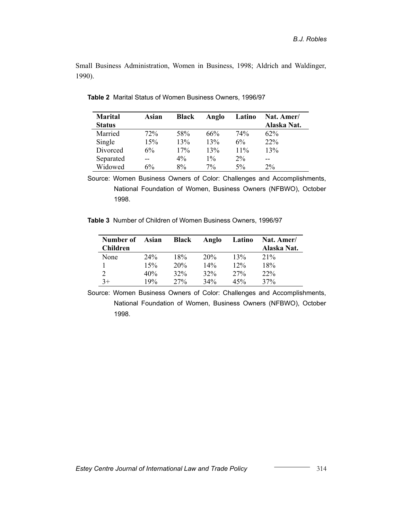Small Business Administration, Women in Business, 1998; Aldrich and Waldinger, 1990).

| <b>Marital</b> | Asian | <b>Black</b> | Anglo | Latino | Nat. Amer/  |
|----------------|-------|--------------|-------|--------|-------------|
| <b>Status</b>  |       |              |       |        | Alaska Nat. |
| Married        | 72%   | 58%          | 66%   | 74%    | $62\%$      |
| Single         | 15%   | 13%          | 13%   | 6%     | 22%         |
| Divorced       | $6\%$ | 17%          | 13%   | $11\%$ | 13%         |
| Separated      |       | $4\%$        | $1\%$ | $2\%$  | --          |
| Widowed        | $6\%$ | 8%           | $7\%$ | $5\%$  | $2\%$       |

**Table 2** Marital Status of Women Business Owners, 1996/97

Source: Women Business Owners of Color: Challenges and Accomplishments, National Foundation of Women, Business Owners (NFBWO), October 1998.

**Table 3** Number of Children of Women Business Owners, 1996/97

| Number of<br>Children | Asian | <b>Black</b> | Anglo  | Latino | Nat. Amer/<br>Alaska Nat. |
|-----------------------|-------|--------------|--------|--------|---------------------------|
| None                  | 24%   | 18%          | 20%    | 13%    | 21%                       |
|                       | 15%   | 20%          | $14\%$ | 12%    | 18%                       |
| າ                     | 40%   | 32%          | 32%    | 27%    | 22%                       |
| $3+$                  | 19%   | 27%          | 34%    | 45%    | 37%                       |

Source: Women Business Owners of Color: Challenges and Accomplishments, National Foundation of Women, Business Owners (NFBWO), October 1998.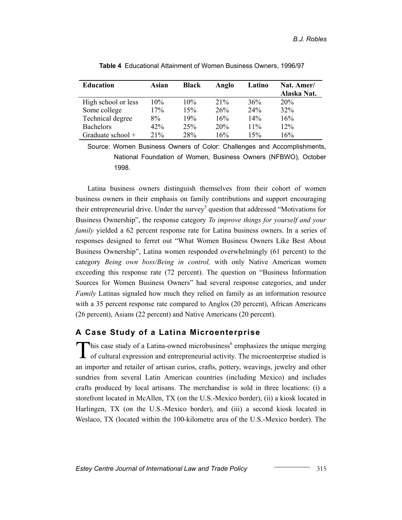| <b>Education</b>    | Asian | <b>Black</b> | Anglo | Latino | Nat. Amer/<br>Alaska Nat. |
|---------------------|-------|--------------|-------|--------|---------------------------|
| High school or less | 10%   | 10%          | 21%   | 36%    | 20%                       |
| Some college        | 17%   | 15%          | 26%   | 24%    | 32%                       |
| Technical degree    | $8\%$ | 19%          | 16%   | 14%    | 16%                       |
| <b>Bachelors</b>    | 42%   | 25%          | 20%   | $11\%$ | 12%                       |
| Graduate school $+$ | 21%   | 28%          | 16%   | 15%    | 16%                       |

**Table 4** Educational Attainment of Women Business Owners, 1996/97

Source: Women Business Owners of Color: Challenges and Accomplishments, National Foundation of Women, Business Owners (NFBWO), October 1998.

Latina business owners distinguish themselves from their cohort of women business owners in their emphasis on family contributions and support encouraging their entrepreneurial drive. Under the survey<sup>[5](#page--1-4)</sup> question that addressed "Motivations for Business Ownership", the response category *To improve things for yourself and your family* yielded a 62 percent response rate for Latina business owners. In a series of responses designed to ferret out "What Women Business Owners Like Best About Business Ownership", Latina women responded overwhelmingly (61 percent) to the category *Being own boss/Being in control,* with only Native American women exceeding this response rate (72 percent). The question on "Business Information Sources for Women Business Owners" had several response categories, and under *Family* Latinas signaled how much they relied on family as an information resource with a 35 percent response rate compared to Anglos (20 percent), African Americans (26 percent), Asians (22 percent) and Native Americans (20 percent).

# **A Case Study of a Latina Microenterprise**

 $\sum$ his case study of a Latina-owned microbusiness<sup>6</sup> [e](#page--1-5)mphasizes the unique merging of cultural expression and entrepreneurial activity. The microenterprise studied is **L** of cultural expression and entrepreneurial activity. The microenterprise studied is an importer and retailer of artisan curios, crafts, pottery, weavings, jewelry and other sundries from several Latin American countries (including Mexico) and includes crafts produced by local artisans. The merchandise is sold in three locations: (i) a storefront located in McAllen, TX (on the U.S.-Mexico border), (ii) a kiosk located in Harlingen, TX (on the U.S.-Mexico border), and (iii) a second kiosk located in Weslaco, TX (located within the 100-kilometre area of the U.S.-Mexico border). The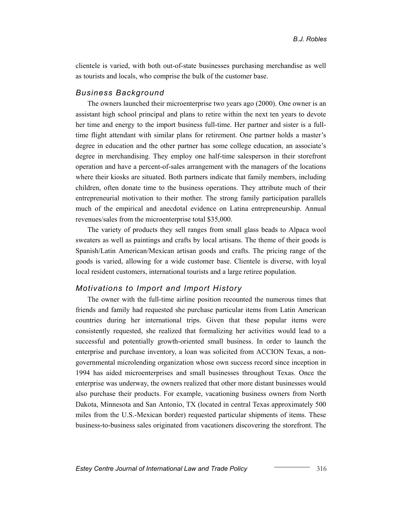clientele is varied, with both out-of-state businesses purchasing merchandise as well as tourists and locals, who comprise the bulk of the customer base.

#### *Business Background*

The owners launched their microenterprise two years ago (2000). One owner is an assistant high school principal and plans to retire within the next ten years to devote her time and energy to the import business full-time. Her partner and sister is a fulltime flight attendant with similar plans for retirement. One partner holds a master's degree in education and the other partner has some college education, an associate's degree in merchandising. They employ one half-time salesperson in their storefront operation and have a percent-of-sales arrangement with the managers of the locations where their kiosks are situated. Both partners indicate that family members, including children, often donate time to the business operations. They attribute much of their entrepreneurial motivation to their mother. The strong family participation parallels much of the empirical and anecdotal evidence on Latina entrepreneurship. Annual revenues/sales from the microenterprise total \$35,000.

The variety of products they sell ranges from small glass beads to Alpaca wool sweaters as well as paintings and crafts by local artisans. The theme of their goods is Spanish/Latin American/Mexican artisan goods and crafts. The pricing range of the goods is varied, allowing for a wide customer base. Clientele is diverse, with loyal local resident customers, international tourists and a large retiree population.

#### *Motivations to Import and Import History*

The owner with the full-time airline position recounted the numerous times that friends and family had requested she purchase particular items from Latin American countries during her international trips. Given that these popular items were consistently requested, she realized that formalizing her activities would lead to a successful and potentially growth-oriented small business. In order to launch the enterprise and purchase inventory, a loan was solicited from ACCION Texas, a nongovernmental microlending organization whose own success record since inception in 1994 has aided microenterprises and small businesses throughout Texas. Once the enterprise was underway, the owners realized that other more distant businesses would also purchase their products. For example, vacationing business owners from North Dakota, Minnesota and San Antonio, TX (located in central Texas approximately 500 miles from the U.S.-Mexican border) requested particular shipments of items. These business-to-business sales originated from vacationers discovering the storefront. The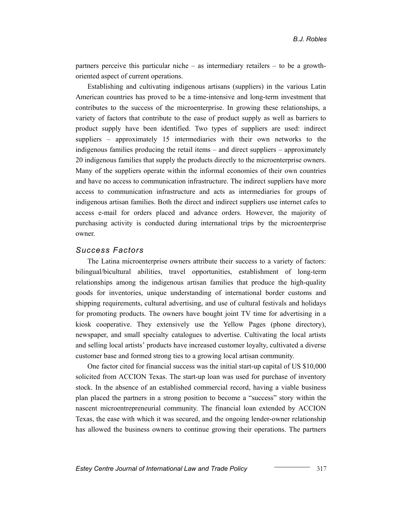partners perceive this particular niche – as intermediary retailers – to be a growthoriented aspect of current operations.

Establishing and cultivating indigenous artisans (suppliers) in the various Latin American countries has proved to be a time-intensive and long-term investment that contributes to the success of the microenterprise. In growing these relationships, a variety of factors that contribute to the ease of product supply as well as barriers to product supply have been identified. Two types of suppliers are used: indirect suppliers – approximately 15 intermediaries with their own networks to the indigenous families producing the retail items – and direct suppliers – approximately 20 indigenous families that supply the products directly to the microenterprise owners. Many of the suppliers operate within the informal economies of their own countries and have no access to communication infrastructure. The indirect suppliers have more access to communication infrastructure and acts as intermediaries for groups of indigenous artisan families. Both the direct and indirect suppliers use internet cafes to access e-mail for orders placed and advance orders. However, the majority of purchasing activity is conducted during international trips by the microenterprise owner.

#### *Success Factors*

The Latina microenterprise owners attribute their success to a variety of factors: bilingual/bicultural abilities, travel opportunities, establishment of long-term relationships among the indigenous artisan families that produce the high-quality goods for inventories, unique understanding of international border customs and shipping requirements, cultural advertising, and use of cultural festivals and holidays for promoting products. The owners have bought joint TV time for advertising in a kiosk cooperative. They extensively use the Yellow Pages (phone directory), newspaper, and small specialty catalogues to advertise. Cultivating the local artists and selling local artists' products have increased customer loyalty, cultivated a diverse customer base and formed strong ties to a growing local artisan community.

One factor cited for financial success was the initial start-up capital of US \$10,000 solicited from ACCION Texas. The start-up loan was used for purchase of inventory stock. In the absence of an established commercial record, having a viable business plan placed the partners in a strong position to become a "success" story within the nascent microentrepreneurial community. The financial loan extended by ACCION Texas, the ease with which it was secured, and the ongoing lender-owner relationship has allowed the business owners to continue growing their operations. The partners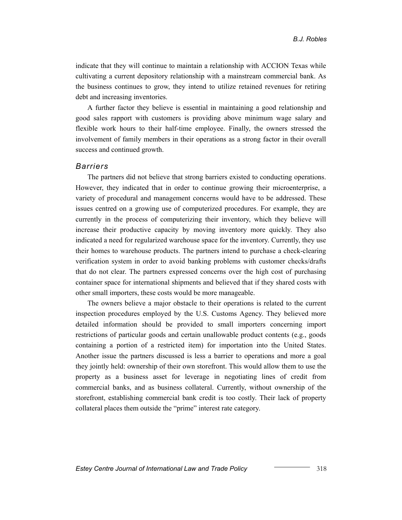indicate that they will continue to maintain a relationship with ACCION Texas while cultivating a current depository relationship with a mainstream commercial bank. As the business continues to grow, they intend to utilize retained revenues for retiring debt and increasing inventories.

A further factor they believe is essential in maintaining a good relationship and good sales rapport with customers is providing above minimum wage salary and flexible work hours to their half-time employee. Finally, the owners stressed the involvement of family members in their operations as a strong factor in their overall success and continued growth.

#### *Barriers*

The partners did not believe that strong barriers existed to conducting operations. However, they indicated that in order to continue growing their microenterprise, a variety of procedural and management concerns would have to be addressed. These issues centred on a growing use of computerized procedures. For example, they are currently in the process of computerizing their inventory, which they believe will increase their productive capacity by moving inventory more quickly. They also indicated a need for regularized warehouse space for the inventory. Currently, they use their homes to warehouse products. The partners intend to purchase a check-clearing verification system in order to avoid banking problems with customer checks/drafts that do not clear. The partners expressed concerns over the high cost of purchasing container space for international shipments and believed that if they shared costs with other small importers, these costs would be more manageable.

The owners believe a major obstacle to their operations is related to the current inspection procedures employed by the U.S. Customs Agency. They believed more detailed information should be provided to small importers concerning import restrictions of particular goods and certain unallowable product contents (e.g., goods containing a portion of a restricted item) for importation into the United States. Another issue the partners discussed is less a barrier to operations and more a goal they jointly held: ownership of their own storefront. This would allow them to use the property as a business asset for leverage in negotiating lines of credit from commercial banks, and as business collateral. Currently, without ownership of the storefront, establishing commercial bank credit is too costly. Their lack of property collateral places them outside the "prime" interest rate category.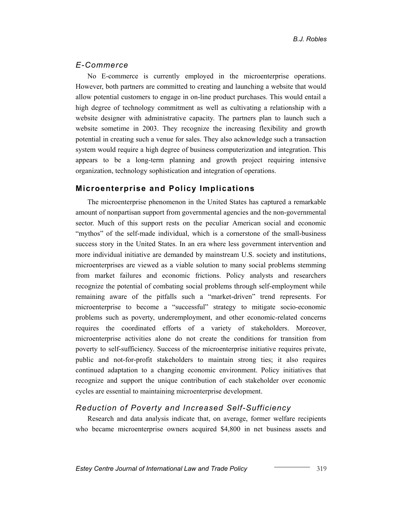#### *E-Commerce*

No E-commerce is currently employed in the microenterprise operations. However, both partners are committed to creating and launching a website that would allow potential customers to engage in on-line product purchases. This would entail a high degree of technology commitment as well as cultivating a relationship with a website designer with administrative capacity. The partners plan to launch such a website sometime in 2003. They recognize the increasing flexibility and growth potential in creating such a venue for sales. They also acknowledge such a transaction system would require a high degree of business computerization and integration. This appears to be a long-term planning and growth project requiring intensive organization, technology sophistication and integration of operations.

#### **Microenterprise and Policy Implications**

The microenterprise phenomenon in the United States has captured a remarkable amount of nonpartisan support from governmental agencies and the non-governmental sector. Much of this support rests on the peculiar American social and economic "mythos" of the self-made individual, which is a cornerstone of the small-business success story in the United States. In an era where less government intervention and more individual initiative are demanded by mainstream U.S. society and institutions, microenterprises are viewed as a viable solution to many social problems stemming from market failures and economic frictions. Policy analysts and researchers recognize the potential of combating social problems through self-employment while remaining aware of the pitfalls such a "market-driven" trend represents. For microenterprise to become a "successful" strategy to mitigate socio-economic problems such as poverty, underemployment, and other economic-related concerns requires the coordinated efforts of a variety of stakeholders. Moreover, microenterprise activities alone do not create the conditions for transition from poverty to self-sufficiency. Success of the microenterprise initiative requires private, public and not-for-profit stakeholders to maintain strong ties; it also requires continued adaptation to a changing economic environment. Policy initiatives that recognize and support the unique contribution of each stakeholder over economic cycles are essential to maintaining microenterprise development.

#### *Reduction of Poverty and Increased Self-Sufficiency*

Research and data analysis indicate that, on average, former welfare recipients who became microenterprise owners acquired \$4,800 in net business assets and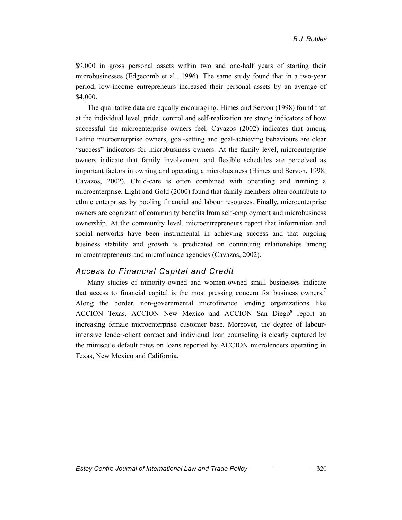\$9,000 in gross personal assets within two and one-half years of starting their microbusinesses (Edgecomb et al., 1996). The same study found that in a two-year period, low-income entrepreneurs increased their personal assets by an average of \$4,000.

The qualitative data are equally encouraging. Himes and Servon (1998) found that at the individual level, pride, control and self-realization are strong indicators of how successful the microenterprise owners feel. Cavazos (2002) indicates that among Latino microenterprise owners, goal-setting and goal-achieving behaviours are clear "success" indicators for microbusiness owners. At the family level, microenterprise owners indicate that family involvement and flexible schedules are perceived as important factors in owning and operating a microbusiness (Himes and Servon, 1998; Cavazos, 2002). Child-care is often combined with operating and running a microenterprise. Light and Gold (2000) found that family members often contribute to ethnic enterprises by pooling financial and labour resources. Finally, microenterprise owners are cognizant of community benefits from self-employment and microbusiness ownership. At the community level, microentrepreneurs report that information and social networks have been instrumental in achieving success and that ongoing business stability and growth is predicated on continuing relationships among microentrepreneurs and microfinance agencies (Cavazos, 2002).

#### *Access to Financial Capital and Credit*

Many studies of minority-owned and women-owned small businesses indicate that access to financial capital is the most pressing concern for business owners.<sup>7</sup> Along the border, non-governmental microfinance lending organizations like ACCION Texas, ACCION New Mexico and ACCION San Diego<sup>[8](#page--1-7)</sup> report an increasing female microenterprise customer base. Moreover, the degree of labourintensive lender-client contact and individual loan counseling is clearly captured by the miniscule default rates on loans reported by ACCION microlenders operating in Texas, New Mexico and California.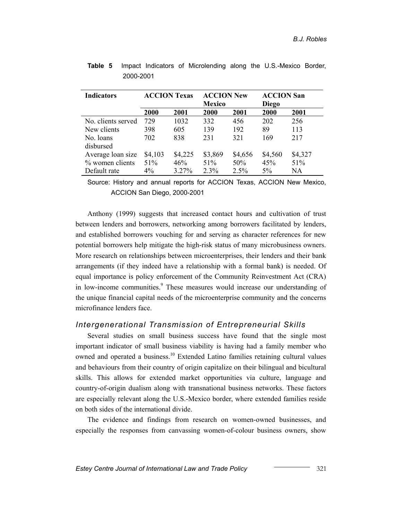| <b>Indicators</b>  | <b>ACCION Texas</b> |         | <b>ACCION New</b><br><b>Mexico</b> |         | <b>ACCION San</b><br>Diego |         |
|--------------------|---------------------|---------|------------------------------------|---------|----------------------------|---------|
|                    | <b>2000</b>         | 2001    | 2000                               | 2001    | 2000                       | 2001    |
| No. clients served | 729                 | 1032    | 332                                | 456     | 202                        | 256     |
| New clients        | 398                 | 605     | 139                                | 192     | 89                         | 113     |
| No. loans          | 702                 | 838     | 231                                | 321     | 169                        | 217     |
| disbursed          |                     |         |                                    |         |                            |         |
| Average loan size  | \$4,103             | \$4,225 | \$3,869                            | \$4,656 | \$4,560                    | \$4,327 |
| % women clients    | 51%                 | 46%     | 51%                                | 50%     | 45%                        | 51%     |
| Default rate       | 4%                  | 3.27%   | 2.3%                               | 2.5%    | 5%                         | NA      |

|           |  | <b>Table 5</b> Impact Indicators of Microlending along the U.S.-Mexico Border, |  |  |
|-----------|--|--------------------------------------------------------------------------------|--|--|
| 2000-2001 |  |                                                                                |  |  |

Source: History and annual reports for ACCION Texas, ACCION New Mexico, ACCION San Diego, 2000-2001

Anthony (1999) suggests that increased contact hours and cultivation of trust between lenders and borrowers, networking among borrowers facilitated by lenders, and established borrowers vouching for and serving as character references for new potential borrowers help mitigate the high-risk status of many microbusiness owners. More research on relationships between microenterprises, their lenders and their bank arrangements (if they indeed have a relationship with a formal bank) is needed. Of equal importance is policy enforcement of the Community Reinvestment Act (CRA) in low-income communities.<sup>[9](#page--1-8)</sup> These measures would increase our understanding of the unique financial capital needs of the microenterprise community and the concerns microfinance lenders face.

#### *Intergenerational Transmission of Entrepreneurial Skills*

Several studies on small business success have found that the single most important indicator of small business viability is having had a family member who owned and operated a business[.10](#page--1-9) Extended Latino families retaining cultural values and behaviours from their country of origin capitalize on their bilingual and bicultural skills. This allows for extended market opportunities via culture, language and country-of-origin dualism along with transnational business networks. These factors are especially relevant along the U.S.-Mexico border, where extended families reside on both sides of the international divide.

The evidence and findings from research on women-owned businesses, and especially the responses from canvassing women-of-colour business owners, show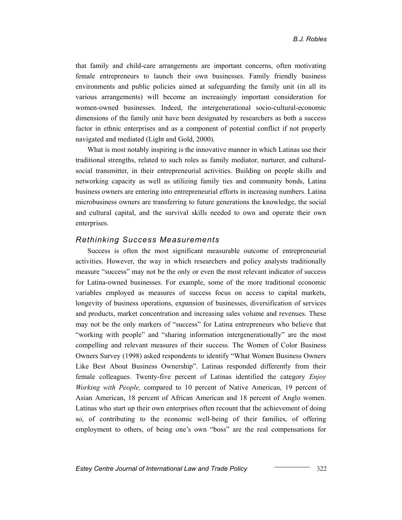that family and child-care arrangements are important concerns, often motivating female entrepreneurs to launch their own businesses. Family friendly business environments and public policies aimed at safeguarding the family unit (in all its various arrangements) will become an increasingly important consideration for women-owned businesses. Indeed, the intergenerational socio-cultural-economic dimensions of the family unit have been designated by researchers as both a success factor in ethnic enterprises and as a component of potential conflict if not properly navigated and mediated (Light and Gold, 2000).

What is most notably inspiring is the innovative manner in which Latinas use their traditional strengths, related to such roles as family mediator, nurturer, and culturalsocial transmitter, in their entrepreneurial activities. Building on people skills and networking capacity as well as utilizing family ties and community bonds, Latina business owners are entering into entrepreneurial efforts in increasing numbers. Latina microbusiness owners are transferring to future generations the knowledge, the social and cultural capital, and the survival skills needed to own and operate their own enterprises.

#### *Rethinking Success Measurements*

Success is often the most significant measurable outcome of entrepreneurial activities. However, the way in which researchers and policy analysts traditionally measure "success" may not be the only or even the most relevant indicator of success for Latina-owned businesses. For example, some of the more traditional economic variables employed as measures of success focus on access to capital markets, longevity of business operations, expansion of businesses, diversification of services and products, market concentration and increasing sales volume and revenues. These may not be the only markers of "success" for Latina entrepreneurs who believe that "working with people" and "sharing information intergenerationally" are the most compelling and relevant measures of their success. The Women of Color Business Owners Survey (1998) asked respondents to identify "What Women Business Owners Like Best About Business Ownership". Latinas responded differently from their female colleagues. Twenty-five percent of Latinas identified the category *Enjoy Working with People,* compared to 10 percent of Native American, 19 percent of Asian American, 18 percent of African American and 18 percent of Anglo women. Latinas who start up their own enterprises often recount that the achievement of doing so, of contributing to the economic well-being of their families, of offering employment to others, of being one's own "boss" are the real compensations for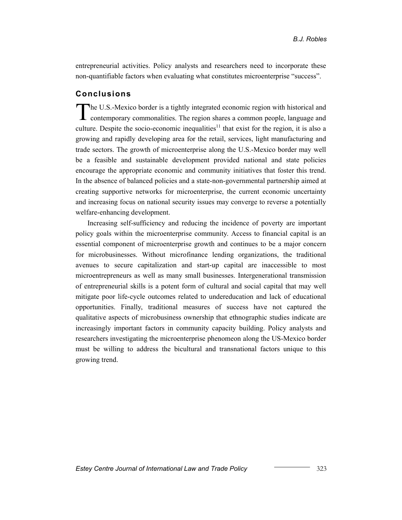entrepreneurial activities. Policy analysts and researchers need to incorporate these non-quantifiable factors when evaluating what constitutes microenterprise "success".

# **Conclusions**

The U.S.-Mexico border is a tightly integrated economic region with historical and contemporary commonalities. The region shares a common people, language and culture. Despite the socio-economic inequalities<sup>11</sup> that exist for the region, it is also a growing and rapidly developing area for the retail, services, light manufacturing and trade sectors. The growth of microenterprise along the U.S.-Mexico border may well be a feasible and sustainable development provided national and state policies encourage the appropriate economic and community initiatives that foster this trend. In the absence of balanced policies and a state-non-governmental partnership aimed at creating supportive networks for microenterprise, the current economic uncertainty and increasing focus on national security issues may converge to reverse a potentially welfare-enhancing development.

Increasing self-sufficiency and reducing the incidence of poverty are important policy goals within the microenterprise community. Access to financial capital is an essential component of microenterprise growth and continues to be a major concern for microbusinesses. Without microfinance lending organizations, the traditional avenues to secure capitalization and start-up capital are inaccessible to most microentrepreneurs as well as many small businesses. Intergenerational transmission of entrepreneurial skills is a potent form of cultural and social capital that may well mitigate poor life-cycle outcomes related to undereducation and lack of educational opportunities. Finally, traditional measures of success have not captured the qualitative aspects of microbusiness ownership that ethnographic studies indicate are increasingly important factors in community capacity building. Policy analysts and researchers investigating the microenterprise phenomeon along the US-Mexico border must be willing to address the bicultural and transnational factors unique to this growing trend.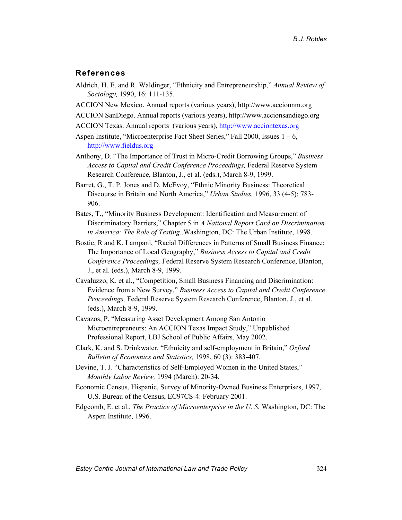#### **References**

- Aldrich, H. E. and R. Waldinger, "Ethnicity and Entrepreneurship," *Annual Review of Sociology,* 1990, 16: 111-135.
- ACCION New Mexico. Annual reports (various years), http://www.accionnm.org
- ACCION SanDiego. Annual reports (various years), http://www.accionsandiego.org
- ACCION Texas. Annual reports (various years), [http://www.acciontexas.org](http://www.acciontexas.org/)
- Aspen Institute, "Microenterprise Fact Sheet Series," Fall 2000, Issues  $1 6$ , [http://www.fieldus.org](http://www.fieldus.org/)
- Anthony, D. "The Importance of Trust in Micro-Credit Borrowing Groups," *Business Access to Capital and Credit Conference Proceedings,* Federal Reserve System Research Conference, Blanton, J., et al. (eds.), March 8-9, 1999.
- Barret, G., T. P. Jones and D. McEvoy, "Ethnic Minority Business: Theoretical Discourse in Britain and North America," *Urban Studies,* 1996, 33 (4-5): 783- 906.
- Bates, T., "Minority Business Development: Identification and Measurement of Discriminatory Barriers," Chapter 5 in *A National Report Card on Discrimination in America: The Role of Testing.*.Washington, DC: The Urban Institute, 1998.
- Bostic, R and K. Lampani, "Racial Differences in Patterns of Small Business Finance: The Importance of Local Geography," *Business Access to Capital and Credit Conference Proceedings,* Federal Reserve System Research Conference, Blanton, J., et al. (eds.), March 8-9, 1999.
- Cavaluzzo, K. et al., "Competition, Small Business Financing and Discrimination: Evidence from a New Survey," *Business Access to Capital and Credit Conference Proceedings,* Federal Reserve System Research Conference, Blanton, J., et al. (eds.), March 8-9, 1999.
- Cavazos, P. "Measuring Asset Development Among San Antonio Microentrepreneurs: An ACCION Texas Impact Study," Unpublished Professional Report, LBJ School of Public Affairs, May 2002.
- Clark, K. and S. Drinkwater, "Ethnicity and self-employment in Britain," *Oxford Bulletin of Economics and Statistics,* 1998, 60 (3): 383-407.
- Devine, T. J. "Characteristics of Self-Employed Women in the United States," *Monthly Labor Review,* 1994 (March): 20-34.
- Economic Census, Hispanic, Survey of Minority-Owned Business Enterprises, 1997, U.S. Bureau of the Census, EC97CS-4: February 2001.
- Edgcomb, E. et al., *The Practice of Microenterprise in the U. S.* Washington, DC: The Aspen Institute, 1996.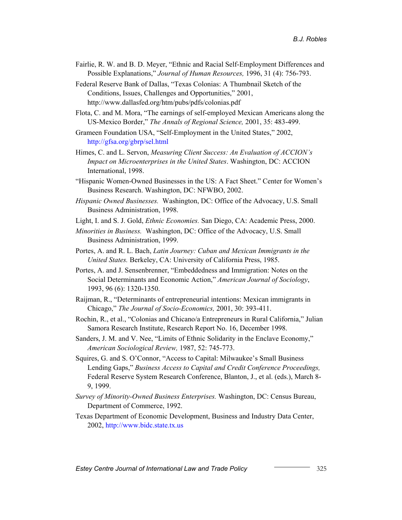- Fairlie, R. W. and B. D. Meyer, "Ethnic and Racial Self-Employment Differences and Possible Explanations," *Journal of Human Resources,* 1996, 31 (4): 756-793.
- Federal Reserve Bank of Dallas, "Texas Colonias: A Thumbnail Sketch of the Conditions, Issues, Challenges and Opportunities," 2001, http://www.dallasfed.org/htm/pubs/pdfs/colonias.pdf
- Flota, C. and M. Mora, "The earnings of self-employed Mexican Americans along the US-Mexico Border," *The Annals of Regional Science,* 2001, 35: 483-499.
- Grameen Foundation USA, "Self-Employment in the United States," 2002, <http://gfsa.org/gbrp/sel.html>
- Himes, C. and L. Servon, *Measuring Client Success: An Evaluation of ACCION's Impact on Microenterprises in the United States*. Washington, DC: ACCION International, 1998.
- "Hispanic Women-Owned Businesses in the US: A Fact Sheet." Center for Women's Business Research. Washington, DC: NFWBO, 2002.
- *Hispanic Owned Businesses.* Washington, DC: Office of the Advocacy, U.S. Small Business Administration, 1998.
- Light, I. and S. J. Gold, *Ethnic Economies.* San Diego, CA: Academic Press, 2000.
- *Minorities in Business.* Washington, DC: Office of the Advocacy, U.S. Small Business Administration, 1999.
- Portes, A. and R. L. Bach, *Latin Journey: Cuban and Mexican Immigrants in the United States.* Berkeley, CA: University of California Press, 1985.
- Portes, A. and J. Sensenbrenner, "Embeddedness and Immigration: Notes on the Social Determinants and Economic Action," *American Journal of Sociology*, 1993, 96 (6): 1320-1350.
- Raijman, R., "Determinants of entrepreneurial intentions: Mexican immigrants in Chicago," *The Journal of Socio-Economics,* 2001, 30: 393-411.
- Rochin, R., et al., "Colonias and Chicano/a Entrepreneurs in Rural California," Julian Samora Research Institute, Research Report No. 16, December 1998.
- Sanders, J. M. and V. Nee, "Limits of Ethnic Solidarity in the Enclave Economy," *American Sociological Review,* 1987, 52: 745-773.
- Squires, G. and S. O'Connor, "Access to Capital: Milwaukee's Small Business Lending Gaps," *Business Access to Capital and Credit Conference Proceedings,* Federal Reserve System Research Conference, Blanton, J., et al. (eds.), March 8- 9, 1999.
- *Survey of Minority-Owned Business Enterprises.* Washington, DC: Census Bureau, Department of Commerce, 1992.
- Texas Department of Economic Development, Business and Industry Data Center, 2002, [http://www.bidc.state.tx.us](http://www.bidc.state.tx.us/)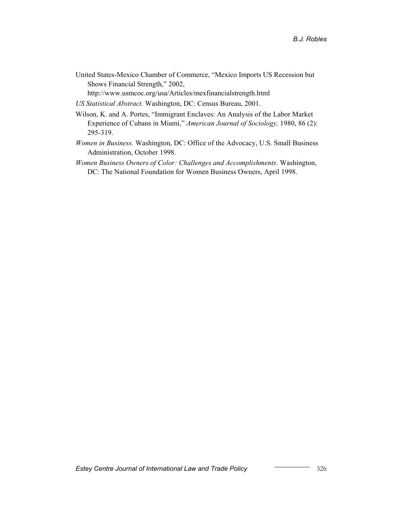United States-Mexico Chamber of Commerce, "Mexico Imports US Recession but Shows Financial Strength," 2002,

http://www.usmcoc.org/usa/Articles/mexfinancialstrength.html

- *US Statistical Abstract.* Washington, DC: Census Bureau, 2001.
- Wilson, K. and A. Portes, "Immigrant Enclaves: An Analysis of the Labor Market Experience of Cubans in Miami," *American Journal of Sociology,* 1980, 86 (2): 295-319.
- *Women in Business.* Washington, DC: Office of the Advocacy, U.S. Small Business Administration, October 1998.
- *Women Business Owners of Color: Challenges and Accomplishments.* Washington, DC: The National Foundation for Women Business Owners, April 1998.